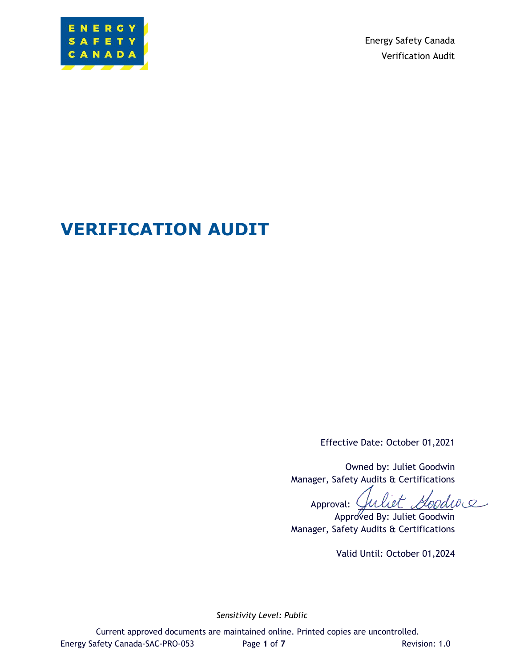

Energy Safety Canada Verification Audit

# **VERIFICATION AUDIT**

Effective Date: October 01,2021

Owned by: Juliet Goodwin Manager, Safety Audits & Certifications

diore Approval:

Approved By: Juliet Goodwin Manager, Safety Audits & Certifications

Valid Until: October 01,2024

*Sensitivity Level: Public*

Current approved documents are maintained online. Printed copies are uncontrolled. Energy Safety Canada-SAC-PRO-053 Page 1 of 7 Revision: 1.0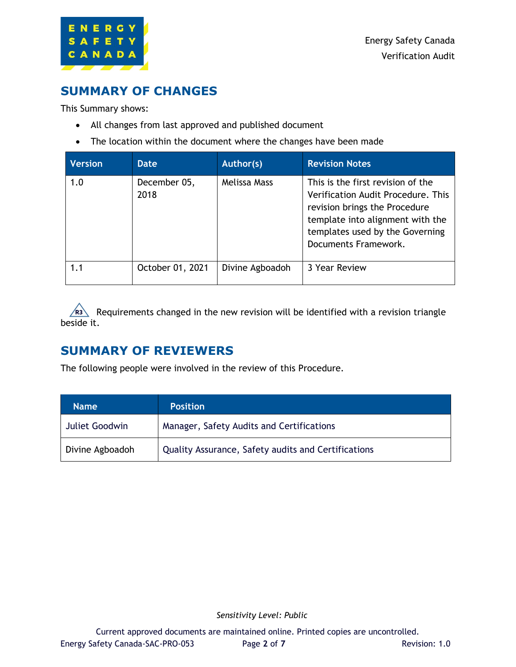

### **SUMMARY OF CHANGES**

This Summary shows:

- All changes from last approved and published document
- The location within the document where the changes have been made

| <b>Version</b> | <b>Date</b>          | Author(s)       | <b>Revision Notes</b>                                                                                                                                                                                   |
|----------------|----------------------|-----------------|---------------------------------------------------------------------------------------------------------------------------------------------------------------------------------------------------------|
| 1.0            | December 05,<br>2018 | Melissa Mass    | This is the first revision of the<br>Verification Audit Procedure. This<br>revision brings the Procedure<br>template into alignment with the<br>templates used by the Governing<br>Documents Framework. |
| 1.1            | October 01, 2021     | Divine Agboadoh | 3 Year Review                                                                                                                                                                                           |

Requirements changed in the new revision will be identified with a revision triangle beside it.

## **SUMMARY OF REVIEWERS**

The following people were involved in the review of this Procedure.

| <b>Name</b>     | <b>Position</b>                                     |
|-----------------|-----------------------------------------------------|
| Juliet Goodwin  | Manager, Safety Audits and Certifications           |
| Divine Agboadoh | Quality Assurance, Safety audits and Certifications |

*Sensitivity Level: Public*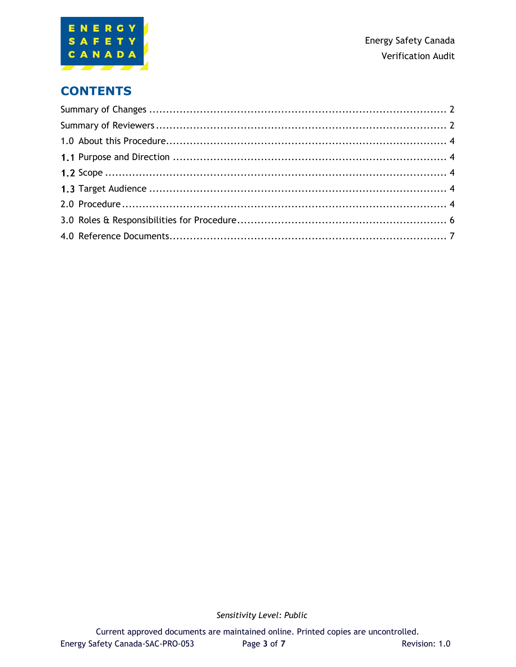

### **CONTENTS**

*Sensitivity Level: Public*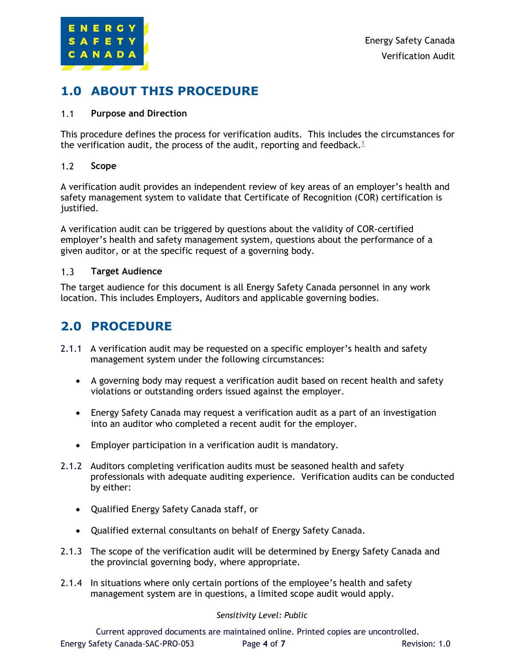

### **1.0 ABOUT THIS PROCEDURE**

#### $1.1$ **Purpose and Direction**

This procedure defines the process for verification audits. This includes the circumstances for the verification audit, the process of the audit, reporting and feedback.<sup>1</sup>

#### $1.2$ **Scope**

A verification audit provides an independent review of key areas of an employer's health and safety management system to validate that Certificate of Recognition (COR) certification is justified.

A verification audit can be triggered by questions about the validity of COR-certified employer's health and safety management system, questions about the performance of a given auditor, or at the specific request of a governing body.

#### $1.3$ **Target Audience**

The target audience for this document is all Energy Safety Canada personnel in any work location. This includes Employers, Auditors and applicable governing bodies.

### **2.0 PROCEDURE**

- 2.1.1 A verification audit may be requested on a specific employer's health and safety management system under the following circumstances:
	- A governing body may request a verification audit based on recent health and safety violations or outstanding orders issued against the employer.
	- Energy Safety Canada may request a verification audit as a part of an investigation into an auditor who completed a recent audit for the employer.
	- Employer participation in a verification audit is mandatory.
- 2.1.2 Auditors completing verification audits must be seasoned health and safety professionals with adequate auditing experience. Verification audits can be conducted by either:
	- Qualified Energy Safety Canada staff, or
	- Qualified external consultants on behalf of Energy Safety Canada.
- 2.1.3 The scope of the verification audit will be determined by Energy Safety Canada and the provincial governing body, where appropriate.
- 2.1.4 In situations where only certain portions of the employee's health and safety management system are in questions, a limited scope audit would apply.

### *Sensitivity Level: Public*

Current approved documents are maintained online. Printed copies are uncontrolled. Energy Safety Canada-SAC-PRO-053 Page **4** of **7** Revision: 1.0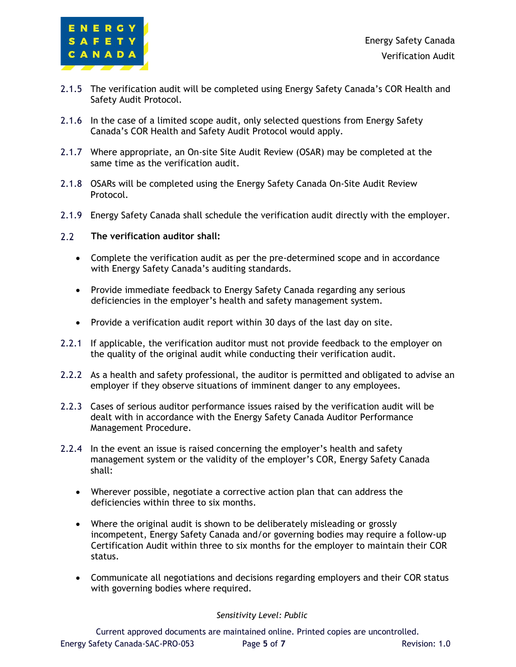

- 2.1.5 The verification audit will be completed using Energy Safety Canada's COR Health and Safety Audit Protocol.
- 2.1.6 In the case of a limited scope audit, only selected questions from Energy Safety Canada's COR Health and Safety Audit Protocol would apply.
- 2.1.7 Where appropriate, an On-site Site Audit Review (OSAR) may be completed at the same time as the verification audit.
- 2.1.8 OSARs will be completed using the Energy Safety Canada On-Site Audit Review Protocol.
- 2.1.9 Energy Safety Canada shall schedule the verification audit directly with the employer.
- $2.2$ **The verification auditor shall:**
	- Complete the verification audit as per the pre-determined scope and in accordance with Energy Safety Canada's auditing standards.
	- Provide immediate feedback to Energy Safety Canada regarding any serious deficiencies in the employer's health and safety management system.
	- Provide a verification audit report within 30 days of the last day on site.
- 2.2.1 If applicable, the verification auditor must not provide feedback to the employer on the quality of the original audit while conducting their verification audit.
- 2.2.2 As a health and safety professional, the auditor is permitted and obligated to advise an employer if they observe situations of imminent danger to any employees.
- 2.2.3 Cases of serious auditor performance issues raised by the verification audit will be dealt with in accordance with the Energy Safety Canada Auditor Performance Management Procedure.
- 2.2.4 In the event an issue is raised concerning the employer's health and safety management system or the validity of the employer's COR, Energy Safety Canada shall:
	- Wherever possible, negotiate a corrective action plan that can address the deficiencies within three to six months.
	- Where the original audit is shown to be deliberately misleading or grossly incompetent, Energy Safety Canada and/or governing bodies may require a follow-up Certification Audit within three to six months for the employer to maintain their COR status.
	- Communicate all negotiations and decisions regarding employers and their COR status with governing bodies where required.

### *Sensitivity Level: Public*

Current approved documents are maintained online. Printed copies are uncontrolled. Energy Safety Canada-SAC-PRO-053 Page **5** of **7** Revision: 1.0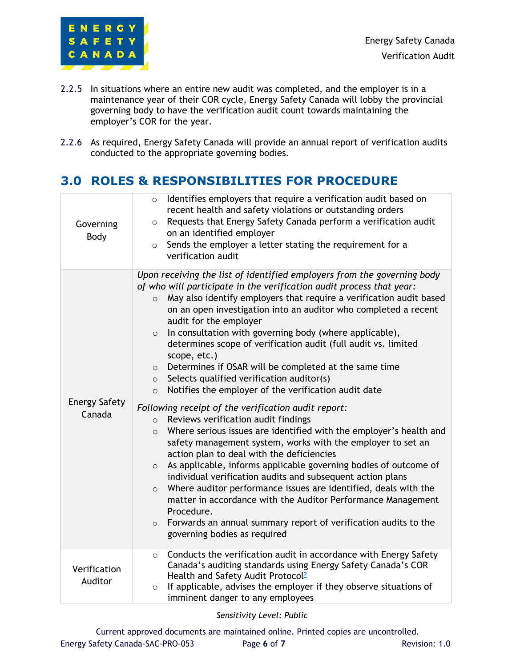

- 2.2.5 In situations where an entire new audit was completed, and the employer is in a maintenance year of their COR cycle, Energy Safety Canada will lobby the provincial governing body to have the verification audit count towards maintaining the employer's COR for the year.
- 2.2.6 As required, Energy Safety Canada will provide an annual report of verification audits conducted to the appropriate governing bodies.

### **3.0 ROLES & RESPONSIBILITIES FOR PROCEDURE**

| Governing<br>Body              | Identifies employers that require a verification audit based on<br>$\circ$<br>recent health and safety violations or outstanding orders<br>Requests that Energy Safety Canada perform a verification audit<br>$\circ$<br>on an identified employer<br>Sends the employer a letter stating the requirement for a<br>$\circ$<br>verification audit                                                                                                                                                                                                                                                                                                                                                                                                                                                                                                                                                                                                                                                                                                                                                                                                                                                                                                                                                                                                                                                                   |
|--------------------------------|--------------------------------------------------------------------------------------------------------------------------------------------------------------------------------------------------------------------------------------------------------------------------------------------------------------------------------------------------------------------------------------------------------------------------------------------------------------------------------------------------------------------------------------------------------------------------------------------------------------------------------------------------------------------------------------------------------------------------------------------------------------------------------------------------------------------------------------------------------------------------------------------------------------------------------------------------------------------------------------------------------------------------------------------------------------------------------------------------------------------------------------------------------------------------------------------------------------------------------------------------------------------------------------------------------------------------------------------------------------------------------------------------------------------|
| <b>Energy Safety</b><br>Canada | Upon receiving the list of identified employers from the governing body<br>of who will participate in the verification audit process that year:<br>May also identify employers that require a verification audit based<br>$\circ$<br>on an open investigation into an auditor who completed a recent<br>audit for the employer<br>In consultation with governing body (where applicable),<br>$\circ$<br>determines scope of verification audit (full audit vs. limited<br>scope, etc.)<br>Determines if OSAR will be completed at the same time<br>$\circ$<br>Selects qualified verification auditor(s)<br>$\circ$<br>Notifies the employer of the verification audit date<br>$\circ$<br>Following receipt of the verification audit report:<br>Reviews verification audit findings<br>$\circ$<br>Where serious issues are identified with the employer's health and<br>$\circ$<br>safety management system, works with the employer to set an<br>action plan to deal with the deficiencies<br>As applicable, informs applicable governing bodies of outcome of<br>$\circ$<br>individual verification audits and subsequent action plans<br>Where auditor performance issues are identified, deals with the<br>$\circ$<br>matter in accordance with the Auditor Performance Management<br>Procedure.<br>Forwards an annual summary report of verification audits to the<br>$\circ$<br>governing bodies as required |
| Verification<br>Auditor        | Conducts the verification audit in accordance with Energy Safety<br>$\circ$<br>Canada's auditing standards using Energy Safety Canada's COR<br>Health and Safety Audit Protocol <sup>2</sup><br>If applicable, advises the employer if they observe situations of<br>$\circ$<br>imminent danger to any employees                                                                                                                                                                                                                                                                                                                                                                                                                                                                                                                                                                                                                                                                                                                                                                                                                                                                                                                                                                                                                                                                                                   |

*Sensitivity Level: Public*

Current approved documents are maintained online. Printed copies are uncontrolled. Energy Safety Canada-SAC-PRO-053 Page 6 of 7 Revision: 1.0